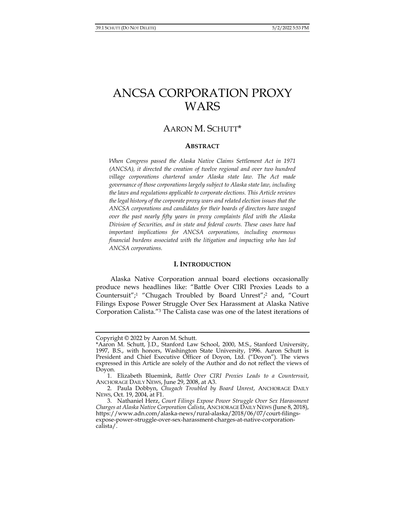# ANCSA CORPORATION PROXY WARS

# AARON M. SCHUTT\*

#### **ABSTRACT**

*When Congress passed the Alaska Native Claims Settlement Act in 1971 (ANCSA), it directed the creation of twelve regional and over two hundred village corporations chartered under Alaska state law. The Act made governance of those corporations largely subject to Alaska state law, including the laws and regulations applicable to corporate elections. This Article reviews the legal history of the corporate proxy wars and related election issues that the ANCSA corporations and candidates for their boards of directors have waged over the past nearly fifty years in proxy complaints filed with the Alaska Division of Securities, and in state and federal courts. These cases have had important implications for ANCSA corporations, including enormous financial burdens associated with the litigation and impacting who has led ANCSA corporations.* 

#### **I. INTRODUCTION**

Alaska Native Corporation annual board elections occasionally produce news headlines like: "Battle Over CIRI Proxies Leads to a Countersuit";1 "Chugach Troubled by Board Unrest";2 and, "Court Filings Expose Power Struggle Over Sex Harassment at Alaska Native Corporation Calista."3 The Calista case was one of the latest iterations of

Copyright © 2022 by Aaron M. Schutt.

<sup>\*</sup>Aaron M. Schutt, J.D., Stanford Law School, 2000, M.S., Stanford University, 1997, B.S., with honors, Washington State University, 1996. Aaron Schutt is President and Chief Executive Officer of Doyon, Ltd. ("Doyon"). The views expressed in this Article are solely of the Author and do not reflect the views of Doyon.

 <sup>1.</sup> Elizabeth Bluemink, *Battle Over CIRI Proxies Leads to a Countersuit*, ANCHORAGE DAILY NEWS, June 29, 2008, at A3.

 <sup>2.</sup> Paula Dobbyn, *Chugach Troubled by Board Unrest*, ANCHORAGE DAILY NEWS, Oct. 19, 2004, at F1.

 <sup>3.</sup> Nathaniel Herz, *Court Filings Expose Power Struggle Over Sex Harassment Charges at Alaska Native Corporation Calista*, ANCHORAGE DAILY NEWS (June 8, 2018), https://www.adn.com/alaska-news/rural-alaska/2018/06/07/court-filingsexpose-power-struggle-over-sex-harassment-charges-at-native-corporationcalista/.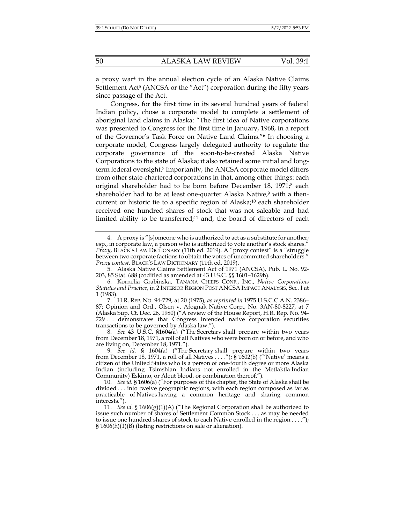a proxy war<sup>4</sup> in the annual election cycle of an Alaska Native Claims Settlement  $Act^5$  (ANCSA or the "Act") corporation during the fifty years since passage of the Act.

Congress, for the first time in its several hundred years of federal Indian policy, chose a corporate model to complete a settlement of aboriginal land claims in Alaska: "The first idea of Native corporations was presented to Congress for the first time in January, 1968, in a report of the Governor's Task Force on Native Land Claims."6 In choosing a corporate model, Congress largely delegated authority to regulate the corporate governance of the soon-to-be-created Alaska Native Corporations to the state of Alaska; it also retained some initial and longterm federal oversight.7 Importantly, the ANCSA corporate model differs from other state-chartered corporations in that, among other things: each original shareholder had to be born before December 18, 1971;<sup>8</sup> each shareholder had to be at least one-quarter Alaska Native, $9$  with a thencurrent or historic tie to a specific region of Alaska;<sup>10</sup> each shareholder received one hundred shares of stock that was not saleable and had limited ability to be transferred;<sup>11</sup> and, the board of directors of each

 <sup>4.</sup> A proxy is "[s]omeone who is authorized to act as a substitute for another; esp., in corporate law, a person who is authorized to vote another's stock shares." *Proxy*, BLACK'S LAW DICTIONARY (11th ed. 2019). A "proxy contest" is a "struggle between two corporate factions to obtain the votes of uncommitted shareholders." *Proxy contest*, BLACK'S LAW DICTIONARY (11th ed. 2019).

 <sup>5.</sup> Alaska Native Claims Settlement Act of 1971 (ANCSA), Pub. L. No. 92- 203, 85 Stat. 688 (codified as amended at 43 U.S.C. §§ 1601–1629h).

 <sup>6.</sup> Kornelia Grabinska, TANANA CHIEFS CONF., INC., *Native Corporations Statutes and Practice*, in 2 INTERIOR REGION POST ANCSA IMPACT ANALYSIS, Sec. I at 1 (1983).

 <sup>7.</sup> H.R. REP. NO. 94-729, at 20 (1975), *as reprinted in* 1975 U.S.C.C.A.N. 2386– 87; Opinion and Ord., Olsen v. Afognak Native Corp., No. 3AN-80-8227, at 7 (Alaska Sup. Ct. Dec. 26, 1980) ("A review of the House Report, H.R. Rep. No. 94- 729 . . . demonstrates that Congress intended native corporation securities transactions to be governed by Alaska law.").

 <sup>8.</sup> *See* 43 U.S.C. §1604(a) ("The Secretary shall prepare within two years from December 18, 1971, a roll of all Natives who were born on or before, and who are living on, December 18, 1971.").

 <sup>9.</sup> *See id.* § 1604(a) ("The Secretary shall prepare within two years from December 18, 1971, a roll of all Natives . . . ."); § 1602(b) ("'Native' means a citizen of the United States who is a person of one-fourth degree or more Alaska Indian (including Tsimshian Indians not enrolled in the Metlaktla Indian Community) Eskimo, or Aleut blood, or combination thereof.").

 <sup>10.</sup> *See id.* § 1606(a) ("For purposes of this chapter, the State of Alaska shall be divided . . . into twelve geographic regions, with each region composed as far as practicable of Natives having a common heritage and sharing common interests.").

 <sup>11.</sup> *See id.* § 1606(g)(1)(A) ("The Regional Corporation shall be authorized to issue such number of shares of Settlement Common Stock . . . as may be needed to issue one hundred shares of stock to each Native enrolled in the region . . . ."); § 1606(h)(1)(B) (listing restrictions on sale or alienation).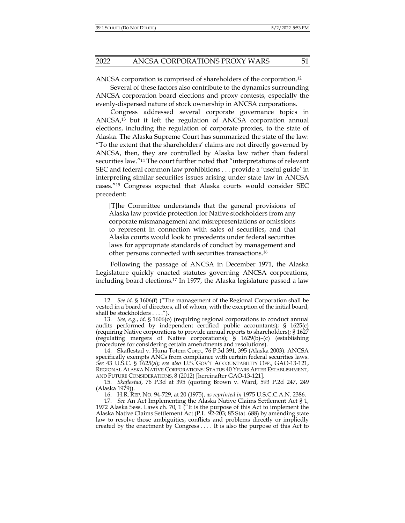ANCSA corporation is comprised of shareholders of the corporation.12

Several of these factors also contribute to the dynamics surrounding ANCSA corporation board elections and proxy contests, especially the evenly-dispersed nature of stock ownership in ANCSA corporations.

Congress addressed several corporate governance topics in ANCSA,13 but it left the regulation of ANCSA corporation annual elections, including the regulation of corporate proxies, to the state of Alaska. The Alaska Supreme Court has summarized the state of the law: "To the extent that the shareholders' claims are not directly governed by ANCSA, then, they are controlled by Alaska law rather than federal securities law."14 The court further noted that "interpretations of relevant SEC and federal common law prohibitions . . . provide a 'useful guide' in interpreting similar securities issues arising under state law in ANCSA cases."15 Congress expected that Alaska courts would consider SEC precedent:

[T]he Committee understands that the general provisions of Alaska law provide protection for Native stockholders from any corporate mismanagement and misrepresentations or omissions to represent in connection with sales of securities, and that Alaska courts would look to precedents under federal securities laws for appropriate standards of conduct by management and other persons connected with securities transactions.16

Following the passage of ANCSA in December 1971, the Alaska Legislature quickly enacted statutes governing ANCSA corporations, including board elections.17 In 1977, the Alaska legislature passed a law

 <sup>12.</sup> *See id.* § 1606(f) ("The management of the Regional Corporation shall be vested in a board of directors, all of whom, with the exception of the initial board, shall be stockholders . . . .").

 <sup>13.</sup> *See, e.g.*, *id.* § 1606(o) (requiring regional corporations to conduct annual audits performed by independent certified public accountants); § 1625(c) (requiring Native corporations to provide annual reports to shareholders); § 1627 (regulating mergers of Native corporations); § 1629(b)–(c) (establishing procedures for considering certain amendments and resolutions).

 <sup>14.</sup> Skaflestad v. Huna Totem Corp., 76 P.3d 391, 395 (Alaska 2003). ANCSA specifically exempts ANCs from compliance with certain federal securities laws. *See* 43 U.S.C. § 1625(a); *see also* U.S. GOV'T ACCOUNTABILITY OFF., GAO-13-121, REGIONAL ALASKA NATIVE CORPORATIONS: STATUS 40 YEARS AFTER ESTABLISHMENT, AND FUTURE CONSIDERATIONS, 8 (2012) [hereinafter GAO-13-121].

 <sup>15.</sup> *Skaflestad*, 76 P.3d at 395 (quoting Brown v. Ward, 593 P.2d 247, 249 (Alaska 1979)).

 <sup>16.</sup> H.R. REP. NO. 94-729, at 20 (1975), *as reprinted in* 1975 U.S.C.C.A.N. 2386.

 <sup>17.</sup> *See* An Act Implementing the Alaska Native Claims Settlement Act § 1, 1972 Alaska Sess. Laws ch. 70, 1 ("It is the purpose of this Act to implement the Alaska Native Claims Settlement Act (P.L. 92-203; 85 Stat. 688) by amending state law to resolve those ambiguities, conflicts and problems directly or impliedly created by the enactment by Congress . . . . It is also the purpose of this Act to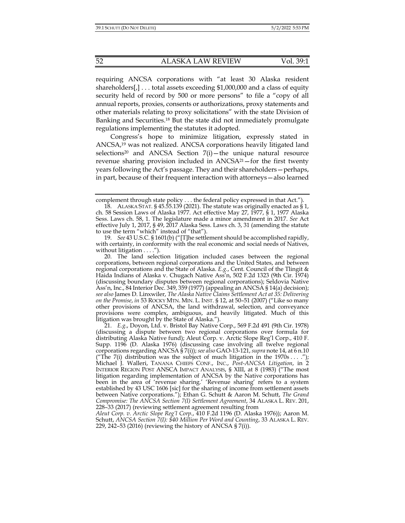requiring ANCSA corporations with "at least 30 Alaska resident shareholders[,] . . . total assets exceeding \$1,000,000 and a class of equity security held of record by 500 or more persons" to file a "copy of all annual reports, proxies, consents or authorizations, proxy statements and other materials relating to proxy solicitations" with the state Division of Banking and Securities.18 But the state did not immediately promulgate regulations implementing the statutes it adopted.

Congress's hope to minimize litigation, expressly stated in ANCSA,19 was not realized. ANCSA corporations heavily litigated land selections<sup>20</sup> and ANCSA Section  $7(i)$  – the unique natural resource revenue sharing provision included in  $ANCSA<sup>21</sup>$ -for the first twenty years following the Act's passage. They and their shareholders—perhaps, in part, because of their frequent interaction with attorneys—also learned

complement through state policy . . . the federal policy expressed in that Act.").

<sup>18.</sup> ALASKA STAT. § 45.55.139 (2021). The statute was originally enacted as  $\S 1$ , ch. 58 Session Laws of Alaska 1977. Act effective May 27, 1977, § 1, 1977 Alaska Sess. Laws ch. 58, 1. The legislature made a minor amendment in 2017. *See* Act effective July 1, 2017, § 49, 2017 Alaska Sess. Laws ch. 3, 31 (amending the statute to use the term "which" instead of "that").

 <sup>19.</sup> *See* 43 U.S.C. § 1601(b) ("[T]he settlement should be accomplished rapidly, with certainty, in conformity with the real economic and social needs of Natives, without litigation . . . .").

 <sup>20.</sup> The land selection litigation included cases between the regional corporations, between regional corporations and the United States, and between regional corporations and the State of Alaska. *E.g.*, Cent. Council of the Tlingit & Haida Indians of Alaska v. Chugach Native Ass'n, 502 F.2d 1323 (9th Cir. 1974) (discussing boundary disputes between regional corporations); Seldovia Native Ass'n, Inc., 84 Interior Dec. 349, 359 (1977) (appealing an ANCSA § 14(a) decision); *see also* James D. Linxwiler, *The Alaska Native Claims Settlement Act at 35: Delivering on the Promise*, *in* 53 ROCKY MTN. MIN. L. INST. § 12, at 50–51 (2007) ("Like so many other provisions of ANCSA, the land withdrawal, selection, and conveyance provisions were complex, ambiguous, and heavily litigated. Much of this litigation was brought by the State of Alaska.").

 <sup>21.</sup> *E.g*., Doyon, Ltd. v. Bristol Bay Native Corp., 569 F.2d 491 (9th Cir. 1978) (discussing a dispute between two regional corporations over formula for distributing Alaska Native fund); Aleut Corp. v. Arctic Slope Reg'l Corp., 410 F. Supp. 1196 (D. Alaska 1976) (discussing case involving all twelve regional corporations regarding ANCSA § 7(i)); *see also* GAO-13-121, *supra* note 14, at 6 n.10 ("The 7(i) distribution was the subject of much litigation in the 1970s ... ."); Michael J. Walleri, TANANA CHIEFS CONF., INC., *Post-ANCSA Litigation*, in 2 INTERIOR REGION POST ANSCA IMPACT ANALYSIS, § XIII, at 8 (1983) ("The most litigation regarding implementation of ANCSA by the Native corporations has been in the area of 'revenue sharing.' 'Revenue sharing' refers to a system established by 43 USC 1606 [sic] for the sharing of income from settlement assets between Native corporations."); Ethan G. Schutt & Aaron M. Schutt, *The Grand Compromise: The ANCSA Section 7(I) Settlement Agreement*, 34 ALASKA L. REV. 201, 228–33 (2017) (reviewing settlement agreement resulting from

*Aleut Corp. v. Arctic Slope Reg'l Corp.*, 410 F.2d 1196 (D. Alaska 1976)); Aaron M. Schutt, *ANCSA Section 7(I): \$40 Million Per Word and Counting*, 33 ALASKA L. REV. 229, 242–53 (2016) (reviewing the history of ANCSA § 7(i)).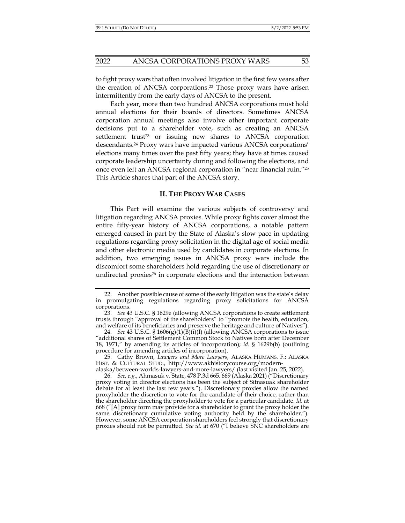to fight proxy wars that often involved litigation in the first few years after the creation of ANCSA corporations.22 Those proxy wars have arisen intermittently from the early days of ANCSA to the present.

Each year, more than two hundred ANCSA corporations must hold annual elections for their boards of directors. Sometimes ANCSA corporation annual meetings also involve other important corporate decisions put to a shareholder vote, such as creating an ANCSA settlement trust<sup>23</sup> or issuing new shares to ANCSA corporation descendants.24 Proxy wars have impacted various ANCSA corporations' elections many times over the past fifty years; they have at times caused corporate leadership uncertainty during and following the elections, and once even left an ANCSA regional corporation in "near financial ruin."25 This Article shares that part of the ANCSA story.

#### **II. THE PROXY WAR CASES**

This Part will examine the various subjects of controversy and litigation regarding ANCSA proxies. While proxy fights cover almost the entire fifty-year history of ANCSA corporations, a notable pattern emerged caused in part by the State of Alaska's slow pace in updating regulations regarding proxy solicitation in the digital age of social media and other electronic media used by candidates in corporate elections. In addition, two emerging issues in ANCSA proxy wars include the discomfort some shareholders hold regarding the use of discretionary or undirected proxies26 in corporate elections and the interaction between

 <sup>22.</sup> Another possible cause of some of the early litigation was the state's delay in promulgating regulations regarding proxy solicitations for ANCSA corporations.

 <sup>23.</sup> *See* 43 U.S.C. § 1629e (allowing ANCSA corporations to create settlement trusts through "approval of the shareholders" to "promote the health, education, and welfare of its beneficiaries and preserve the heritage and culture of Natives").

 <sup>24.</sup> *See* 43 U.S.C. § 1606(g)(1)(B)(i)(I) (allowing ANCSA corporations to issue "additional shares of Settlement Common Stock to Natives born after December 18, 1971," by amending its articles of incorporation); *id.* § 1629b(b) (outlining procedure for amending articles of incorporation).

 <sup>25.</sup> Cathy Brown, *Lawyers and More Lawyers*, ALASKA HUMANS. F.: ALASKA HIST. & CULTURAL STUD., http://www.akhistorycourse.org/modernalaska/between-worlds-lawyers-and-more-lawyers/ (last visited Jan. 25, 2022).

 <sup>26.</sup> *See, e.g.*, Ahmasuk v. State, 478 P.3d 665, 669 (Alaska 2021) ("Discretionary proxy voting in director elections has been the subject of Sitnasuak shareholder debate for at least the last few years."). Discretionary proxies allow the named proxyholder the discretion to vote for the candidate of their choice, rather than the shareholder directing the proxyholder to vote for a particular candidate. *Id.* at 668 ("[A] proxy form may provide for a shareholder to grant the proxy holder the same discretionary cumulative voting authority held by the shareholder."). However, some ANCSA corporation shareholders feel strongly that discretionary proxies should not be permitted. *See id.* at 670 ("I believe SNC shareholders are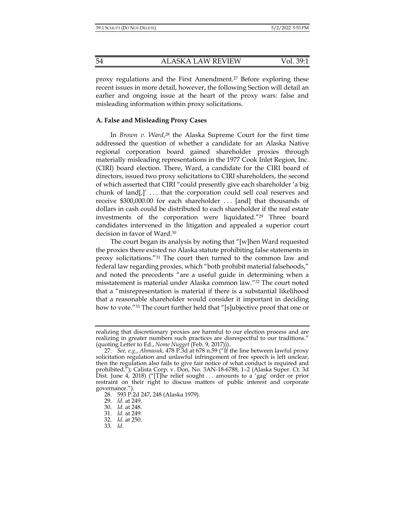proxy regulations and the First Amendment.27 Before exploring these recent issues in more detail, however, the following Section will detail an earlier and ongoing issue at the heart of the proxy wars: false and misleading information within proxy solicitations.

#### **A. False and Misleading Proxy Cases**

In *Brown v. Ward*, 28 the Alaska Supreme Court for the first time addressed the question of whether a candidate for an Alaska Native regional corporation board gained shareholder proxies through materially misleading representations in the 1977 Cook Inlet Region, Inc. (CIRI) board election. There, Ward, a candidate for the CIRI board of directors, issued two proxy solicitations to CIRI shareholders, the second of which asserted that CIRI "could presently give each shareholder 'a big chunk of land $\left[\right]$ '... that the corporation could sell coal reserves and receive \$300,000.00 for each shareholder . . . [and] that thousands of dollars in cash could be distributed to each shareholder if the real estate investments of the corporation were liquidated."29 Three board candidates intervened in the litigation and appealed a superior court decision in favor of Ward.30

The court began its analysis by noting that "[w]hen Ward requested the proxies there existed no Alaska statute prohibiting false statements in proxy solicitations."31 The court then turned to the common law and federal law regarding proxies, which "both prohibit material falsehoods," and noted the precedents "are a useful guide in determining when a misstatement is material under Alaska common law."32 The court noted that a "misrepresentation is material if there is a substantial likelihood that a reasonable shareholder would consider it important in deciding how to vote."33 The court further held that "[s]ubjective proof that one or

realizing that discretionary proxies are harmful to our election process and are realizing in greater numbers such practices are disrespectful to our traditions." (quoting Letter to Ed., *Nome Nugget* (Feb. 9, 2017))).

 <sup>27.</sup> *See, e.g.*, *Ahmasuk*, 478 P.3d at 678 n.59 ("If the line between lawful proxy solicitation regulation and unlawful infringement of free speech is left unclear, then the regulation also fails to give fair notice of what conduct is required and prohibited."); Calista Corp. v. Don, No. 3AN-18-6788, 1-2 (Alaska Super. Ct. 3d Dist. June 4, 2018) ("[T]he relief sought . . . amounts to a 'gag' order or prior restraint on their right to discuss matters of public interest and corporate governance.").

 <sup>28. 593</sup> P.2d 247, 248 (Alaska 1979).

 <sup>29.</sup> *Id.* at 249.

 <sup>30.</sup> *Id.* at 248.

 <sup>31.</sup> *Id.* at 249.

 <sup>32.</sup> *Id.* at 250.

 <sup>33.</sup> *Id.*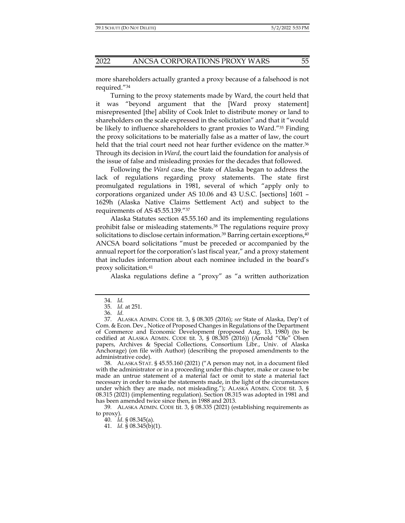more shareholders actually granted a proxy because of a falsehood is not required."34

Turning to the proxy statements made by Ward, the court held that it was "beyond argument that the [Ward proxy statement] misrepresented [the] ability of Cook Inlet to distribute money or land to shareholders on the scale expressed in the solicitation" and that it "would be likely to influence shareholders to grant proxies to Ward."35 Finding the proxy solicitations to be materially false as a matter of law, the court held that the trial court need not hear further evidence on the matter.<sup>36</sup> Through its decision in *Ward*, the court laid the foundation for analysis of the issue of false and misleading proxies for the decades that followed.

Following the *Ward* case, the State of Alaska began to address the lack of regulations regarding proxy statements. The state first promulgated regulations in 1981, several of which "apply only to corporations organized under AS 10.06 and 43 U.S.C. [sections] 1601 – 1629h (Alaska Native Claims Settlement Act) and subject to the requirements of AS 45.55.139."37

Alaska Statutes section 45.55.160 and its implementing regulations prohibit false or misleading statements.38 The regulations require proxy solicitations to disclose certain information.<sup>39</sup> Barring certain exceptions,<sup>40</sup> ANCSA board solicitations "must be preceded or accompanied by the annual report for the corporation's last fiscal year," and a proxy statement that includes information about each nominee included in the board's proxy solicitation.41

Alaska regulations define a "proxy" as "a written authorization

 38. ALASKA STAT. § 45.55.160 (2021) ("A person may not, in a document filed with the administrator or in a proceeding under this chapter, make or cause to be made an untrue statement of a material fact or omit to state a material fact necessary in order to make the statements made, in the light of the circumstances under which they are made, not misleading."); ALASKA ADMIN. CODE tit. 3, § 08.315 (2021) (implementing regulation). Section 08.315 was adopted in 1981 and has been amended twice since then, in 1988 and 2013.

39*.* ALASKA ADMIN. CODE tit. 3, § 08.335 (2021) (establishing requirements as to proxy).

40. *Id.* § 08.345(a).

41. *Id.* § 08.345(b)(1).

 <sup>34.</sup> *Id.* 

 <sup>35.</sup> *Id.* at 251.

 <sup>36.</sup> *Id.*

 <sup>37.</sup> ALASKA ADMIN. CODE tit. 3, § 08.305 (2016); *see* State of Alaska, Dep't of Com. & Econ. Dev., Notice of Proposed Changes in Regulations of the Department of Commerce and Economic Development (proposed Aug. 13, 1980) (to be codified at ALASKA ADMIN. CODE tit. 3, § 08.305 (2016)) (Arnold "Ole" Olsen papers, Archives & Special Collections, Consortium Libr., Univ. of Alaska Anchorage) (on file with Author) (describing the proposed amendments to the administrative code).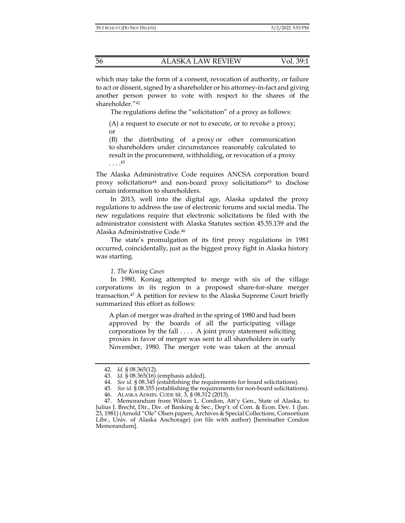which may take the form of a consent, revocation of authority, or failure to act or dissent, signed by a shareholder or his attorney-in-fact and giving another person power to vote with respect to the shares of the shareholder."42

The regulations define the "solicitation" of a proxy as follows:

(A) a request to execute or not to execute, or to revoke a proxy; or

(B) the distributing of a proxy or other communication to shareholders under circumstances reasonably calculated to result in the procurement, withholding, or revocation of a proxy . . . .43

The Alaska Administrative Code requires ANCSA corporation board proxy solicitations44 and non-board proxy solicitations45 to disclose certain information to shareholders.

In 2013, well into the digital age, Alaska updated the proxy regulations to address the use of electronic forums and social media. The new regulations require that electronic solicitations be filed with the administrator consistent with Alaska Statutes section 45.55.139 and the Alaska Administrative Code.46

The state's promulgation of its first proxy regulations in 1981 occurred, coincidentally, just as the biggest proxy fight in Alaska history was starting.

#### *1. The Koniag Cases*

In 1980, Koniag attempted to merge with six of the village corporations in its region in a proposed share-for-share merger transaction.47 A petition for review to the Alaska Supreme Court briefly summarized this effort as follows:

A plan of merger was drafted in the spring of 1980 and had been approved by the boards of all the participating village corporations by the fall . . . . A joint proxy statement soliciting proxies in favor of merger was sent to all shareholders in early November, 1980. The merger vote was taken at the annual

 <sup>42.</sup> *Id.* § 08.365(12).

 <sup>43.</sup> *Id.* § 08.365(16) (emphasis added).

 <sup>44.</sup> *See id.* § 08.345 (establishing the requirements for board solicitations).

 <sup>45.</sup> *See id.* § 08.355 (establishing the requirements for non-board solicitations).

 <sup>46.</sup> ALASKA ADMIN. CODE tit. 3, § 08.312 (2013).

 <sup>47.</sup> Memorandum from Wilson L. Condon, Att'y Gen., State of Alaska, to Julius J. Brecht, Dir., Div. of Banking & Sec., Dep't. of Com. & Econ. Dev. 1 (Jan. 23, 1981) (Arnold "Ole" Olsen papers, Archives & Special Collections, Consortium Libr., Univ. of Alaska Anchorage) (on file with author) [hereinafter Condon Memorandum].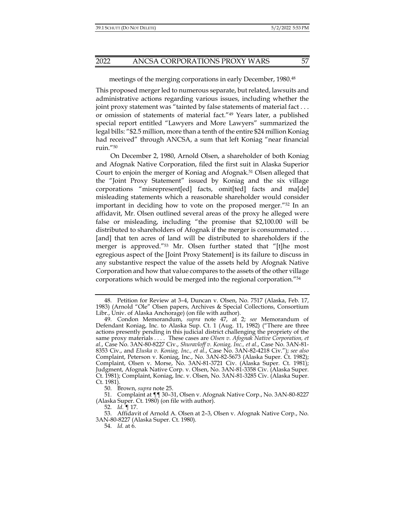#### meetings of the merging corporations in early December, 1980.48

This proposed merger led to numerous separate, but related, lawsuits and administrative actions regarding various issues, including whether the joint proxy statement was "tainted by false statements of material fact . . . or omission of statements of material fact."49 Years later, a published special report entitled "Lawyers and More Lawyers" summarized the legal bills: "\$2.5 million, more than a tenth of the entire \$24 million Koniag had received" through ANCSA, a sum that left Koniag "near financial ruin."50

On December 2, 1980, Arnold Olsen, a shareholder of both Koniag and Afognak Native Corporation, filed the first suit in Alaska Superior Court to enjoin the merger of Koniag and Afognak.51 Olsen alleged that the "Joint Proxy Statement" issued by Koniag and the six village corporations "misrepresent[ed] facts, omit[ted] facts and ma[de] misleading statements which a reasonable shareholder would consider important in deciding how to vote on the proposed merger."52 In an affidavit, Mr. Olsen outlined several areas of the proxy he alleged were false or misleading, including "the promise that \$2,100.00 will be distributed to shareholders of Afognak if the merger is consummated . . . [and] that ten acres of land will be distributed to shareholders if the merger is approved."53 Mr. Olsen further stated that "[t]he most egregious aspect of the [Joint Proxy Statement] is its failure to discuss in any substantive respect the value of the assets held by Afognak Native Corporation and how that value compares to the assets of the other village corporations which would be merged into the regional corporation."54

 <sup>48.</sup> Petition for Review at 3–4, Duncan v. Olsen, No. 7517 (Alaska, Feb. 17, 1983) (Arnold "Ole" Olsen papers, Archives & Special Collections, Consortium Libr., Univ. of Alaska Anchorage) (on file with author).

 <sup>49.</sup> Condon Memorandum, *supra* note 47, at 2; *see* Memorandum of Defendant Koniag, Inc. to Alaska Sup. Ct. 1 (Aug. 11, 1982) ("There are three actions presently pending in this judicial district challenging the propriety of the same proxy materials . . . . These cases are *Olsen v. Afognak Native Corporation, et al.*, Case No. 3AN-80-8227 Civ., *Shuravloff v. Koniag, Inc., et al.*, Case No. 3AN-81- 8353 Civ., and *Eluska v. Koniag, Inc., et al.*, Case No. 3AN-82-4218 Civ."); *see also*  Complaint, Peterson v. Koniag, Inc., No. 3AN-82-5673 (Alaska Super. Ct. 1982); Complaint, Olsen v. Morse, No. 3AN-81-3721 Civ. (Alaska Super. Ct. 1981); Judgment, Afognak Native Corp. v. Olsen, No. 3AN-81-3358 Civ. (Alaska Super. Ct. 1981); Complaint, Koniag, Inc. v. Olsen, No. 3AN-81-3285 Civ. (Alaska Super. Ct. 1981).

 <sup>50.</sup> Brown, *supra* note 25.

 <sup>51.</sup> Complaint at ¶¶ 30–31, Olsen v. Afognak Native Corp., No. 3AN-80-8227 (Alaska Super. Ct. 1980) (on file with author).

 <sup>52.</sup> *Id.* ¶ 17.

 <sup>53.</sup> Affidavit of Arnold A. Olsen at 2–3, Olsen v. Afognak Native Corp., No. 3AN-80-8227 (Alaska Super. Ct. 1980).

 <sup>54.</sup> *Id.* at 6.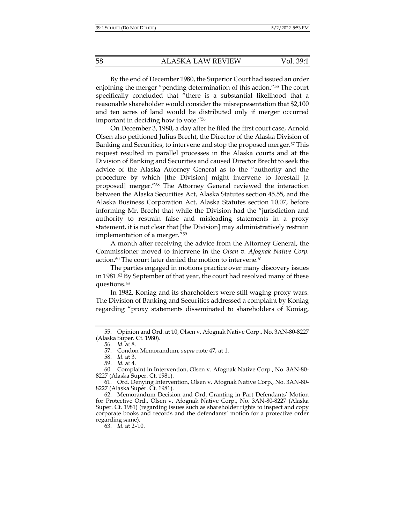By the end of December 1980, the Superior Court had issued an order enjoining the merger "pending determination of this action."55 The court specifically concluded that "there is a substantial likelihood that a reasonable shareholder would consider the misrepresentation that \$2,100 and ten acres of land would be distributed only if merger occurred important in deciding how to vote."56

On December 3, 1980, a day after he filed the first court case, Arnold Olsen also petitioned Julius Brecht, the Director of the Alaska Division of Banking and Securities, to intervene and stop the proposed merger.<sup>57</sup> This request resulted in parallel processes in the Alaska courts and at the Division of Banking and Securities and caused Director Brecht to seek the advice of the Alaska Attorney General as to the "authority and the procedure by which [the Division] might intervene to forestall [a proposed] merger."58 The Attorney General reviewed the interaction between the Alaska Securities Act, Alaska Statutes section 45.55, and the Alaska Business Corporation Act, Alaska Statutes section 10.07, before informing Mr. Brecht that while the Division had the "jurisdiction and authority to restrain false and misleading statements in a proxy statement, it is not clear that [the Division] may administratively restrain implementation of a merger."59

A month after receiving the advice from the Attorney General, the Commissioner moved to intervene in the *Olsen v. Afognak Native Corp.* action.<sup>60</sup> The court later denied the motion to intervene.<sup>61</sup>

The parties engaged in motions practice over many discovery issues in 1981.<sup>62</sup> By September of that year, the court had resolved many of these questions.63

In 1982, Koniag and its shareholders were still waging proxy wars. The Division of Banking and Securities addressed a complaint by Koniag regarding "proxy statements disseminated to shareholders of Koniag,

 <sup>55.</sup> Opinion and Ord. at 10, Olsen v. Afognak Native Corp., No. 3AN-80-8227 (Alaska Super. Ct. 1980).

 <sup>56.</sup> *Id.* at 8.

 <sup>57.</sup> Condon Memorandum, *supra* note 47, at 1.

 <sup>58.</sup> *Id.* at 3.

 <sup>59.</sup> *Id.* at 4.

 <sup>60.</sup> Complaint in Intervention, Olsen v. Afognak Native Corp., No. 3AN-80- 8227 (Alaska Super. Ct. 1981).

 <sup>61.</sup> Ord. Denying Intervention, Olsen v. Afognak Native Corp., No. 3AN-80- 8227 (Alaska Super. Ct. 1981).

 <sup>62.</sup> Memorandum Decision and Ord. Granting in Part Defendants' Motion for Protective Ord., Olsen v. Afognak Native Corp., No. 3AN-80-8227 (Alaska Super. Ct. 1981) (regarding issues such as shareholder rights to inspect and copy corporate books and records and the defendants' motion for a protective order regarding same).

 <sup>63.</sup> *Id.* at 2–10.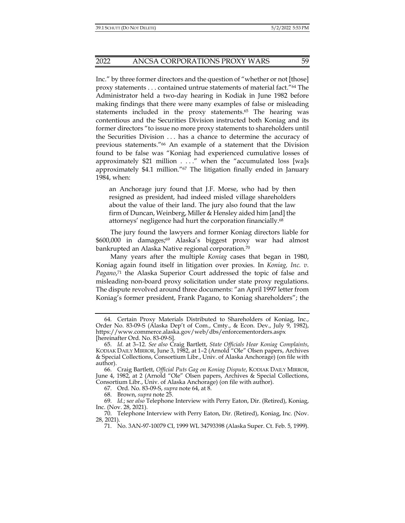Inc." by three former directors and the question of "whether or not [those] proxy statements . . . contained untrue statements of material fact."64 The Administrator held a two-day hearing in Kodiak in June 1982 before making findings that there were many examples of false or misleading statements included in the proxy statements.<sup>65</sup> The hearing was contentious and the Securities Division instructed both Koniag and its former directors "to issue no more proxy statements to shareholders until the Securities Division . . . has a chance to determine the accuracy of previous statements."66 An example of a statement that the Division found to be false was "Koniag had experienced cumulative losses of approximately \$21 million . . . ." when the "accumulated loss [wa]s approximately \$4.1 million."<sup>67</sup> The litigation finally ended in January 1984, when:

an Anchorage jury found that J.F. Morse, who had by then resigned as president, had indeed misled village shareholders about the value of their land. The jury also found that the law firm of Duncan, Weinberg, Miller & Hensley aided him [and] the attorneys' negligence had hurt the corporation financially.68

The jury found the lawyers and former Koniag directors liable for \$600,000 in damages;69 Alaska's biggest proxy war had almost bankrupted an Alaska Native regional corporation.70

Many years after the multiple *Koniag* cases that began in 1980, Koniag again found itself in litigation over proxies. In *Koniag, Inc. v. Pagano*, 71 the Alaska Superior Court addressed the topic of false and misleading non-board proxy solicitation under state proxy regulations. The dispute revolved around three documents: "an April 1997 letter from Koniag's former president, Frank Pagano, to Koniag shareholders"; the

 <sup>64.</sup> Certain Proxy Materials Distributed to Shareholders of Koniag, Inc., Order No. 83-09-S (Alaska Dep't of Com., Cmty., & Econ. Dev., July 9, 1982), https://www.commerce.alaska.gov/web/dbs/enforcementorders.aspx [hereinafter Ord. No. 83-09-S].

 <sup>65.</sup> *Id.* at 3–12. *See also* Craig Bartlett, *State Officials Hear Koniag Complaints*, KODIAK DAILY MIRROR, June 3, 1982, at 1-2 (Arnold "Ole" Olsen papers, Archives & Special Collections, Consortium Libr., Univ. of Alaska Anchorage) (on file with author).

 <sup>66.</sup> Craig Bartlett, *Official Puts Gag on Koniag Dispute*, KODIAK DAILY MIRROR, June 4, 1982, at 2 (Arnold "Ole" Olsen papers, Archives & Special Collections, Consortium Libr., Univ. of Alaska Anchorage) (on file with author).

 <sup>67.</sup> Ord. No. 83-09-S, *supra* note 64, at 8.

 <sup>68.</sup> Brown, *supra* note 25.

 <sup>69.</sup> *Id.*; s*ee also* Telephone Interview with Perry Eaton, Dir. (Retired), Koniag, Inc. (Nov. 28, 2021).

 <sup>70.</sup> Telephone Interview with Perry Eaton, Dir. (Retired), Koniag, Inc. (Nov. 28, 2021).

 <sup>71.</sup> No. 3AN-97-10079 CI, 1999 WL 34793398 (Alaska Super. Ct. Feb. 5, 1999).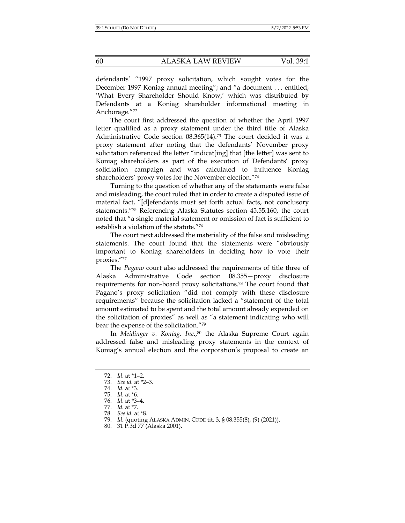defendants' "1997 proxy solicitation, which sought votes for the December 1997 Koniag annual meeting"; and "a document . . . entitled, 'What Every Shareholder Should Know,' which was distributed by Defendants at a Koniag shareholder informational meeting in Anchorage."72

The court first addressed the question of whether the April 1997 letter qualified as a proxy statement under the third title of Alaska Administrative Code section  $08.365(14).73$  The court decided it was a proxy statement after noting that the defendants' November proxy solicitation referenced the letter "indicat[ing] that [the letter] was sent to Koniag shareholders as part of the execution of Defendants' proxy solicitation campaign and was calculated to influence Koniag shareholders' proxy votes for the November election."74

Turning to the question of whether any of the statements were false and misleading, the court ruled that in order to create a disputed issue of material fact, "[d]efendants must set forth actual facts, not conclusory statements."75 Referencing Alaska Statutes section 45.55.160, the court noted that "a single material statement or omission of fact is sufficient to establish a violation of the statute."76

The court next addressed the materiality of the false and misleading statements. The court found that the statements were "obviously important to Koniag shareholders in deciding how to vote their proxies."77

The *Pagano* court also addressed the requirements of title three of Alaska Administrative Code section 08.355—proxy disclosure requirements for non-board proxy solicitations.78 The court found that Pagano's proxy solicitation "did not comply with these disclosure requirements" because the solicitation lacked a "statement of the total amount estimated to be spent and the total amount already expended on the solicitation of proxies" as well as "a statement indicating who will bear the expense of the solicitation."79

In *Meidinger v. Koniag, Inc.*, 80 the Alaska Supreme Court again addressed false and misleading proxy statements in the context of Koniag's annual election and the corporation's proposal to create an

 <sup>72.</sup> *Id.* at \*1–2.

 <sup>73.</sup> *See id.* at \*2–3.

 <sup>74.</sup> *Id.* at \*3.

 <sup>75.</sup> *Id.* at \*6.

 <sup>76.</sup> *Id.* at \*3–4.

 <sup>77.</sup> *Id.* at \*7.

 <sup>78.</sup> *See id.* at \*8.

 <sup>79.</sup> *Id.* (quoting ALASKA ADMIN. CODE tit. 3, § 08.355(8), (9) (2021)).

 <sup>80. 31</sup> P.3d 77 (Alaska 2001).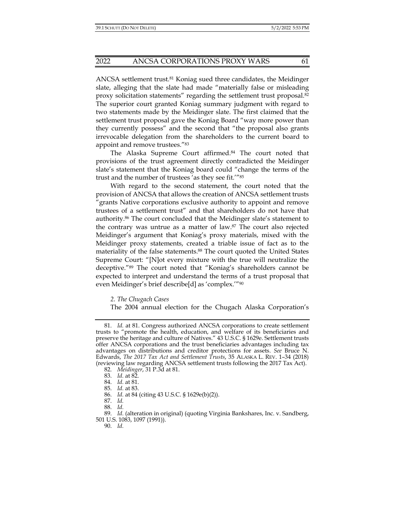ANCSA settlement trust.81 Koniag sued three candidates, the Meidinger slate, alleging that the slate had made "materially false or misleading proxy solicitation statements" regarding the settlement trust proposal.82 The superior court granted Koniag summary judgment with regard to two statements made by the Meidinger slate. The first claimed that the settlement trust proposal gave the Koniag Board "way more power than they currently possess" and the second that "the proposal also grants irrevocable delegation from the shareholders to the current board to appoint and remove trustees."<sup>83</sup>

The Alaska Supreme Court affirmed.<sup>84</sup> The court noted that provisions of the trust agreement directly contradicted the Meidinger slate's statement that the Koniag board could "change the terms of the trust and the number of trustees 'as they see fit.'"85

With regard to the second statement, the court noted that the provision of ANCSA that allows the creation of ANCSA settlement trusts "grants Native corporations exclusive authority to appoint and remove trustees of a settlement trust" and that shareholders do not have that authority.86 The court concluded that the Meidinger slate's statement to the contrary was untrue as a matter of law.87 The court also rejected Meidinger's argument that Koniag's proxy materials, mixed with the Meidinger proxy statements, created a triable issue of fact as to the materiality of the false statements.<sup>88</sup> The court quoted the United States Supreme Court: "[N]ot every mixture with the true will neutralize the deceptive."89 The court noted that "Koniag's shareholders cannot be expected to interpret and understand the terms of a trust proposal that even Meidinger's brief describe[d] as 'complex.'"90

*2. The Chugach Cases* 

The 2004 annual election for the Chugach Alaska Corporation's

 <sup>81.</sup> *Id.* at 81. Congress authorized ANCSA corporations to create settlement trusts to "promote the health, education, and welfare of its beneficiaries and preserve the heritage and culture of Natives." 43 U.S.C. § 1629e. Settlement trusts offer ANCSA corporations and the trust beneficiaries advantages including tax advantages on distributions and creditor protections for assets. *See* Bruce N. Edwards, *The 2017 Tax Act and Settlement Trusts*, 35 ALASKA L. REV. 1–34 (2018) (reviewing law regarding ANCSA settlement trusts following the 2017 Tax Act).

 <sup>82.</sup> *Meidinger*, 31 P.3d at 81.

 <sup>83.</sup> *Id.* at 82.

 <sup>84.</sup> *Id.* at 81.

 <sup>85.</sup> *Id.* at 83.

 <sup>86.</sup> *Id.* at 84 (citing 43 U.S.C. § 1629e(b)(2)).

 <sup>87.</sup> *Id.* 

 <sup>88.</sup> *Id.*

 <sup>89.</sup> *Id.* (alteration in original) (quoting Virginia Bankshares, Inc. v. Sandberg, 501 U.S. 1083, 1097 (1991)).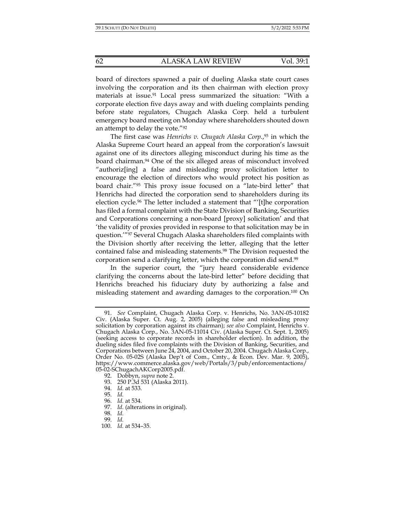board of directors spawned a pair of dueling Alaska state court cases involving the corporation and its then chairman with election proxy materials at issue.<sup>91</sup> Local press summarized the situation: "With a corporate election five days away and with dueling complaints pending before state regulators, Chugach Alaska Corp. held a turbulent emergency board meeting on Monday where shareholders shouted down an attempt to delay the vote."<sup>92</sup>

The first case was *Henrichs v. Chugach Alaska Corp.*, 93 in which the Alaska Supreme Court heard an appeal from the corporation's lawsuit against one of its directors alleging misconduct during his time as the board chairman.<sup>94</sup> One of the six alleged areas of misconduct involved "authoriz[ing] a false and misleading proxy solicitation letter to encourage the election of directors who would protect his position as board chair."95 This proxy issue focused on a "late-bird letter" that Henrichs had directed the corporation send to shareholders during its election cycle.<sup>96</sup> The letter included a statement that "'[t]he corporation has filed a formal complaint with the State Division of Banking, Securities and Corporations concerning a non-board [proxy] solicitation' and that 'the validity of proxies provided in response to that solicitation may be in question.'"97 Several Chugach Alaska shareholders filed complaints with the Division shortly after receiving the letter, alleging that the letter contained false and misleading statements.<sup>98</sup> The Division requested the corporation send a clarifying letter, which the corporation did send.99

In the superior court, the "jury heard considerable evidence clarifying the concerns about the late-bird letter" before deciding that Henrichs breached his fiduciary duty by authorizing a false and misleading statement and awarding damages to the corporation.100 On

 <sup>91.</sup> *See* Complaint, Chugach Alaska Corp. v. Henrichs, No. 3AN-05-10182 Civ. (Alaska Super. Ct. Aug. 2, 2005) (alleging false and misleading proxy solicitation by corporation against its chairman); *see also* Complaint, Henrichs v. Chugach Alaska Corp., No. 3AN-05-11014 Civ. (Alaska Super. Ct. Sept. 1, 2005) (seeking access to corporate records in shareholder election). In addition, the dueling sides filed five complaints with the Division of Banking, Securities, and Corporations between June 24, 2004, and October 20, 2004. Chugach Alaska Corp., Order No. 05-02S (Alaska Dep't of Com., Cmty., & Econ. Dev. Mar. 9, 2005), https://www.commerce.alaska.gov/web/Portals/3/pub/enforcementactions/ 05-02-SChugachAKCorp2005.pdf.

 <sup>92.</sup> Dobbyn, *supra* note 2.

 <sup>93. 250</sup> P.3d 531 (Alaska 2011).

 <sup>94.</sup> *Id.* at 533.

 <sup>95.</sup> *Id.* 

 <sup>96.</sup> *Id.* at 534.

 <sup>97.</sup> *Id.* (alterations in original).

 <sup>98.</sup> *Id.*

 <sup>99.</sup> *Id.* 

 <sup>100.</sup> *Id.* at 534–35.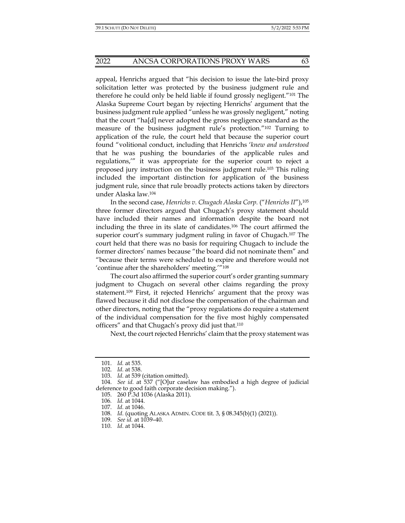appeal, Henrichs argued that "his decision to issue the late-bird proxy solicitation letter was protected by the business judgment rule and therefore he could only be held liable if found grossly negligent."101 The Alaska Supreme Court began by rejecting Henrichs' argument that the business judgment rule applied "unless he was grossly negligent," noting that the court "ha[d] never adopted the gross negligence standard as the measure of the business judgment rule's protection."102 Turning to application of the rule, the court held that because the superior court found "volitional conduct, including that Henrichs '*knew and understood* that he was pushing the boundaries of the applicable rules and regulations,'" it was appropriate for the superior court to reject a proposed jury instruction on the business judgment rule.103 This ruling included the important distinction for application of the business judgment rule, since that rule broadly protects actions taken by directors under Alaska law.104

In the second case, *Henrichs v. Chugach Alaska Corp.* ("*Henrichs II*"),105 three former directors argued that Chugach's proxy statement should have included their names and information despite the board not including the three in its slate of candidates.106 The court affirmed the superior court's summary judgment ruling in favor of Chugach.107 The court held that there was no basis for requiring Chugach to include the former directors' names because "the board did not nominate them" and "because their terms were scheduled to expire and therefore would not 'continue after the shareholders' meeting.'"108

The court also affirmed the superior court's order granting summary judgment to Chugach on several other claims regarding the proxy statement.109 First, it rejected Henrichs' argument that the proxy was flawed because it did not disclose the compensation of the chairman and other directors, noting that the "proxy regulations do require a statement of the individual compensation for the five most highly compensated officers" and that Chugach's proxy did just that.110

Next, the court rejected Henrichs' claim that the proxy statement was

 <sup>101.</sup> *Id.* at 535.

 <sup>102.</sup> *Id.* at 538.

 <sup>103.</sup> *Id.* at 539 (citation omitted).

 <sup>104.</sup> *See id.* at 537 ("[O]ur caselaw has embodied a high degree of judicial deference to good faith corporate decision making.").

 <sup>105. 260</sup> P.3d 1036 (Alaska 2011).

<sup>106</sup>*. Id.* at 1044.

 <sup>107.</sup> *Id.* at 1046.

 <sup>108.</sup> *Id.* (quoting ALASKA ADMIN. CODE tit. 3, § 08.345(b)(1) (2021)).

 <sup>109.</sup> *See id.* at 1039–40.

 <sup>110.</sup> *Id.* at 1044.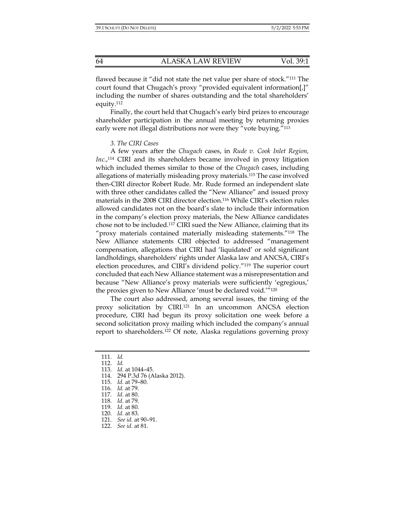flawed because it "did not state the net value per share of stock."111 The court found that Chugach's proxy "provided equivalent information[,]" including the number of shares outstanding and the total shareholders' equity.112

Finally, the court held that Chugach's early bird prizes to encourage shareholder participation in the annual meeting by returning proxies early were not illegal distributions nor were they "vote buying."<sup>113</sup>

#### *3. The CIRI Cases*

A few years after the *Chugach* cases, in *Rude v. Cook Inlet Region, Inc.*, 114 CIRI and its shareholders became involved in proxy litigation which included themes similar to those of the *Chugach* cases, including allegations of materially misleading proxy materials.115 The case involved then-CIRI director Robert Rude. Mr. Rude formed an independent slate with three other candidates called the "New Alliance" and issued proxy materials in the 2008 CIRI director election.116 While CIRI's election rules allowed candidates not on the board's slate to include their information in the company's election proxy materials, the New Alliance candidates chose not to be included.117 CIRI sued the New Alliance, claiming that its "proxy materials contained materially misleading statements."118 The New Alliance statements CIRI objected to addressed "management compensation, allegations that CIRI had 'liquidated' or sold significant landholdings, shareholders' rights under Alaska law and ANCSA, CIRI's election procedures, and CIRI's dividend policy."119 The superior court concluded that each New Alliance statement was a misrepresentation and because "New Alliance's proxy materials were sufficiently 'egregious,' the proxies given to New Alliance 'must be declared void.'"120

The court also addressed, among several issues, the timing of the proxy solicitation by CIRI.121 In an uncommon ANCSA election procedure, CIRI had begun its proxy solicitation one week before a second solicitation proxy mailing which included the company's annual report to shareholders.122 Of note, Alaska regulations governing proxy

118. *Id.* at 79.

122. *See id.* at 81.

 <sup>111.</sup> *Id.* 

 <sup>112.</sup> *Id.*

 <sup>113.</sup> *Id.* at 1044–45.

 <sup>114. 294</sup> P.3d 76 (Alaska 2012).

 <sup>115.</sup> *Id.* at 79–80.

 <sup>116.</sup> *Id.* at 79.

 <sup>117.</sup> *Id.* at 80.

 <sup>119.</sup> *Id.* at 80.

 <sup>120.</sup> *Id.* at 83.

 <sup>121.</sup> *See id.* at 90–91.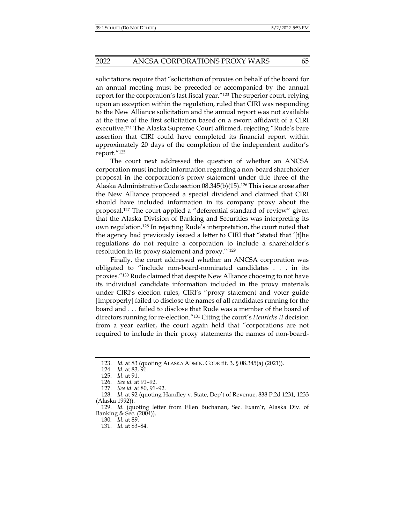solicitations require that "solicitation of proxies on behalf of the board for an annual meeting must be preceded or accompanied by the annual report for the corporation's last fiscal year."123 The superior court, relying upon an exception within the regulation, ruled that CIRI was responding to the New Alliance solicitation and the annual report was not available at the time of the first solicitation based on a sworn affidavit of a CIRI executive.124 The Alaska Supreme Court affirmed, rejecting "Rude's bare assertion that CIRI could have completed its financial report within approximately 20 days of the completion of the independent auditor's report."125

The court next addressed the question of whether an ANCSA corporation must include information regarding a non-board shareholder proposal in the corporation's proxy statement under title three of the Alaska Administrative Code section  $08.345(b)(15)$ .<sup>126</sup> This issue arose after the New Alliance proposed a special dividend and claimed that CIRI should have included information in its company proxy about the proposal.127 The court applied a "deferential standard of review" given that the Alaska Division of Banking and Securities was interpreting its own regulation.128 In rejecting Rude's interpretation, the court noted that the agency had previously issued a letter to CIRI that "stated that '[t]he regulations do not require a corporation to include a shareholder's resolution in its proxy statement and proxy.'"129

Finally, the court addressed whether an ANCSA corporation was obligated to "include non-board-nominated candidates . . . in its proxies."130 Rude claimed that despite New Alliance choosing to not have its individual candidate information included in the proxy materials under CIRI's election rules, CIRI's "proxy statement and voter guide [improperly] failed to disclose the names of all candidates running for the board and . . . failed to disclose that Rude was a member of the board of directors running for re-election."131 Citing the court's *Henrichs II* decision from a year earlier, the court again held that "corporations are not required to include in their proxy statements the names of non-board-

 <sup>123.</sup> *Id.* at 83 (quoting ALASKA ADMIN. CODE tit. 3, § 08.345(a) (2021)).

 <sup>124.</sup> *Id.* at 83, 91.

 <sup>125.</sup> *Id.* at 91.

 <sup>126.</sup> *See id.* at 91–92.

 <sup>127.</sup> *See id.* at 80, 91–92.

 <sup>128.</sup> *Id.* at 92 (quoting Handley v. State, Dep't of Revenue, 838 P.2d 1231, 1233 (Alaska 1992)).

 <sup>129.</sup> *Id.* (quoting letter from Ellen Buchanan, Sec. Exam'r, Alaska Div. of Banking & Sec. (2004)).

<sup>130</sup>*. Id.* at 89.

 <sup>131.</sup> *Id.* at 83–84.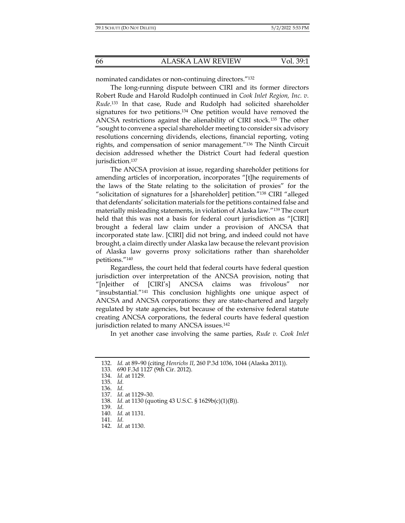nominated candidates or non-continuing directors."132

The long-running dispute between CIRI and its former directors Robert Rude and Harold Rudolph continued in *Cook Inlet Region, Inc. v. Rude*. 133 In that case, Rude and Rudolph had solicited shareholder signatures for two petitions.134 One petition would have removed the ANCSA restrictions against the alienability of CIRI stock.135 The other "sought to convene a special shareholder meeting to consider six advisory resolutions concerning dividends, elections, financial reporting, voting rights, and compensation of senior management."136 The Ninth Circuit decision addressed whether the District Court had federal question jurisdiction.137

The ANCSA provision at issue, regarding shareholder petitions for amending articles of incorporation, incorporates "[t]he requirements of the laws of the State relating to the solicitation of proxies" for the "solicitation of signatures for a [shareholder] petition."138 CIRI "alleged that defendants' solicitation materials for the petitions contained false and materially misleading statements, in violation of Alaska law."139 The court held that this was not a basis for federal court jurisdiction as "[CIRI] brought a federal law claim under a provision of ANCSA that incorporated state law. [CIRI] did not bring, and indeed could not have brought, a claim directly under Alaska law because the relevant provision of Alaska law governs proxy solicitations rather than shareholder petitions."140

Regardless, the court held that federal courts have federal question jurisdiction over interpretation of the ANCSA provision, noting that "[n]either of [CIRI's] ANCSA claims was frivolous" nor "insubstantial."141 This conclusion highlights one unique aspect of ANCSA and ANCSA corporations: they are state-chartered and largely regulated by state agencies, but because of the extensive federal statute creating ANCSA corporations, the federal courts have federal question jurisdiction related to many ANCSA issues.<sup>142</sup>

In yet another case involving the same parties, *Rude v. Cook Inlet* 

139. *Id.*

142. *Id.* at 1130.

 <sup>132.</sup> *Id.* at 89–90 (citing *Henrichs II*, 260 P.3d 1036, 1044 (Alaska 2011)).

 <sup>133. 690</sup> F.3d 1127 (9th Cir. 2012).

 <sup>134.</sup> *Id.* at 1129.

 <sup>135.</sup> *Id.*

 <sup>136.</sup> *Id.*

 <sup>137.</sup> *Id.* at 1129–30.

 <sup>138.</sup> *Id.* at 1130 (quoting 43 U.S.C. § 1629b(c)(1)(B)).

 <sup>140.</sup> *Id.* at 1131. 141. *Id.*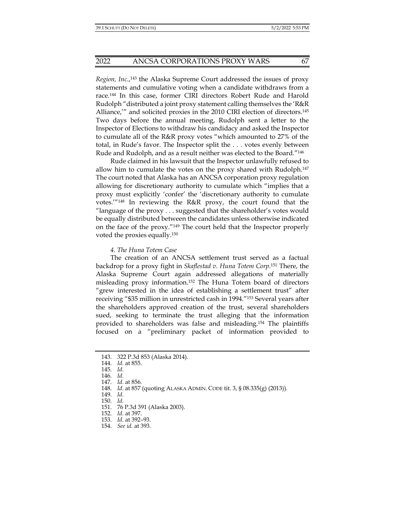#### 2022 ANCSA CORPORATIONS PROXY WARS 67

*Region, Inc.*, 143 the Alaska Supreme Court addressed the issues of proxy statements and cumulative voting when a candidate withdraws from a race.144 In this case, former CIRI directors Robert Rude and Harold Rudolph "distributed a joint proxy statement calling themselves the 'R&R Alliance,'" and solicited proxies in the 2010 CIRI election of directors.145 Two days before the annual meeting, Rudolph sent a letter to the Inspector of Elections to withdraw his candidacy and asked the Inspector to cumulate all of the R&R proxy votes "which amounted to 27% of the total, in Rude's favor. The Inspector split the . . . votes evenly between Rude and Rudolph, and as a result neither was elected to the Board."146

Rude claimed in his lawsuit that the Inspector unlawfully refused to allow him to cumulate the votes on the proxy shared with Rudolph.147 The court noted that Alaska has an ANCSA corporation proxy regulation allowing for discretionary authority to cumulate which "implies that a proxy must explicitly 'confer' the 'discretionary authority to cumulate votes.'"148 In reviewing the R&R proxy, the court found that the "language of the proxy . . . suggested that the shareholder's votes would be equally distributed between the candidates unless otherwise indicated on the face of the proxy."149 The court held that the Inspector properly voted the proxies equally.150

#### *4. The Huna Totem Case*

The creation of an ANCSA settlement trust served as a factual backdrop for a proxy fight in *Skaflestad v. Huna Totem Corp.*151 There, the Alaska Supreme Court again addressed allegations of materially misleading proxy information.152 The Huna Totem board of directors "grew interested in the idea of establishing a settlement trust" after receiving "\$35 million in unrestricted cash in 1994."153 Several years after the shareholders approved creation of the trust, several shareholders sued, seeking to terminate the trust alleging that the information provided to shareholders was false and misleading.154 The plaintiffs focused on a "preliminary packet of information provided to

 <sup>143. 322</sup> P.3d 853 (Alaska 2014).

 <sup>144.</sup> *Id.* at 855.

 <sup>145.</sup> *Id.*

 <sup>146.</sup> *Id.*

 <sup>147.</sup> *Id.* at 856.

 <sup>148.</sup> *Id.* at 857 (quoting ALASKA ADMIN. CODE tit. 3, § 08.335(g) (2013)).

 <sup>149.</sup> *Id.*

 <sup>150.</sup> *Id.*

 <sup>151. 76</sup> P.3d 391 (Alaska 2003).

 <sup>152.</sup> *Id.* at 397.

 <sup>153.</sup> *Id.* at 392–93.

 <sup>154.</sup> *See id.* at 393.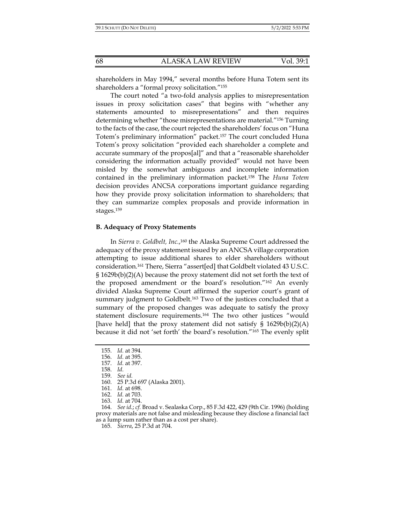shareholders in May 1994," several months before Huna Totem sent its shareholders a "formal proxy solicitation."155

The court noted "a two-fold analysis applies to misrepresentation issues in proxy solicitation cases" that begins with "whether any statements amounted to misrepresentations" and then requires determining whether "those misrepresentations are material."156 Turning to the facts of the case, the court rejected the shareholders' focus on "Huna Totem's preliminary information" packet.157 The court concluded Huna Totem's proxy solicitation "provided each shareholder a complete and accurate summary of the propos[al]" and that a "reasonable shareholder considering the information actually provided" would not have been misled by the somewhat ambiguous and incomplete information contained in the preliminary information packet.158 The *Huna Totem* decision provides ANCSA corporations important guidance regarding how they provide proxy solicitation information to shareholders; that they can summarize complex proposals and provide information in stages.159

### **B. Adequacy of Proxy Statements**

In *Sierra v. Goldbelt, Inc.*, 160 the Alaska Supreme Court addressed the adequacy of the proxy statement issued by an ANCSA village corporation attempting to issue additional shares to elder shareholders without consideration.161 There, Sierra "assert[ed] that Goldbelt violated 43 U.S.C. § 1629b(b)(2)(A) because the proxy statement did not set forth the text of the proposed amendment or the board's resolution."162 An evenly divided Alaska Supreme Court affirmed the superior court's grant of summary judgment to Goldbelt.<sup>163</sup> Two of the justices concluded that a summary of the proposed changes was adequate to satisfy the proxy statement disclosure requirements.164 The two other justices "would [have held] that the proxy statement did not satisfy  $\S$  1629b(b)(2)(A) because it did not 'set forth' the board's resolution."165 The evenly split

 <sup>155.</sup> *Id.* at 394.

 <sup>156.</sup> *Id.* at 395.

 <sup>157.</sup> *Id.* at 397.

 <sup>158.</sup> *Id.*

 <sup>159.</sup> *See id.*

 <sup>160. 25</sup> P.3d 697 (Alaska 2001).

 <sup>161.</sup> *Id.* at 698.

 <sup>162.</sup> *Id.* at 703.

 <sup>163.</sup> *Id.* at 704.

 <sup>164.</sup> *See id.*; *cf.* Broad v. Sealaska Corp., 85 F.3d 422, 429 (9th Cir. 1996) (holding proxy materials are not false and misleading because they disclose a financial fact as a lump sum rather than as a cost per share).

 <sup>165.</sup> *Sierra*, 25 P.3d at 704.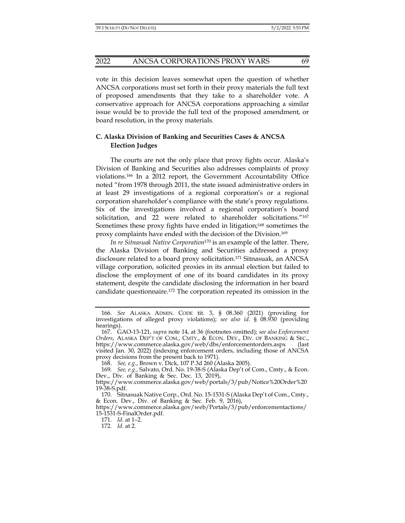vote in this decision leaves somewhat open the question of whether ANCSA corporations must set forth in their proxy materials the full text of proposed amendments that they take to a shareholder vote. A conservative approach for ANCSA corporations approaching a similar issue would be to provide the full text of the proposed amendment, or board resolution, in the proxy materials.

## **C. Alaska Division of Banking and Securities Cases & ANCSA Election Judges**

The courts are not the only place that proxy fights occur. Alaska's Division of Banking and Securities also addresses complaints of proxy violations.166 In a 2012 report, the Government Accountability Office noted "from 1978 through 2011, the state issued administrative orders in at least 29 investigations of a regional corporation's or a regional corporation shareholder's compliance with the state's proxy regulations. Six of the investigations involved a regional corporation's board solicitation, and 22 were related to shareholder solicitations."167 Sometimes these proxy fights have ended in litigation;168 sometimes the proxy complaints have ended with the decision of the Division.169

*In re Sitnasuak Native Corporation*170 is an example of the latter. There, the Alaska Division of Banking and Securities addressed a proxy disclosure related to a board proxy solicitation.171 Sitnasuak, an ANCSA village corporation, solicited proxies in its annual election but failed to disclose the employment of one of its board candidates in its proxy statement, despite the candidate disclosing the information in her board candidate questionnaire.172 The corporation repeated its omission in the

168. *See, e.g.*, Brown v. Dick, 107 P.3d 260 (Alaska 2005).

 <sup>166.</sup> *See* ALASKA ADMIN. CODE tit. 3, § 08.360 (2021) (providing for investigations of alleged proxy violations); *see also id.* § 08.930 (providing hearings).

 <sup>167.</sup> GAO-13-121, *supra* note 14, at 36 (footnotes omitted); *see also Enforcement Orders*, ALASKA DEP'T OF COM., CMTY., & ECON. DEV., DIV. OF BANKING & SEC., https://www.commerce.alaska.gov/web/dbs/enforcementorders.aspx (last visited Jan. 30, 2022) (indexing enforcement orders, including those of ANCSA proxy decisions from the present back to 1971).

 <sup>169.</sup> *See, e.g.*, Salvato, Ord. No. 19-38-S (Alaska Dep't of Com., Cmty., & Econ. Dev., Div. of Banking & Sec. Dec. 13, 2019),

https://www.commerce.alaska.gov/web/portals/3/pub/Notice%20Order%20 19-38-S.pdf.

 <sup>170.</sup> Sitnasuak Native Corp*.*, Ord. No. 15-1531-S (Alaska Dep't of Com., Cmty., & Econ. Dev., Div. of Banking & Sec. Feb. 9, 2016),

https://www.commerce.alaska.gov/web/Portals/3/pub/enforcementactions/ 15-1531-S-FinalOrder.pdf.

 <sup>171.</sup> *Id.* at 1–2.

 <sup>172.</sup> *Id.* at 2.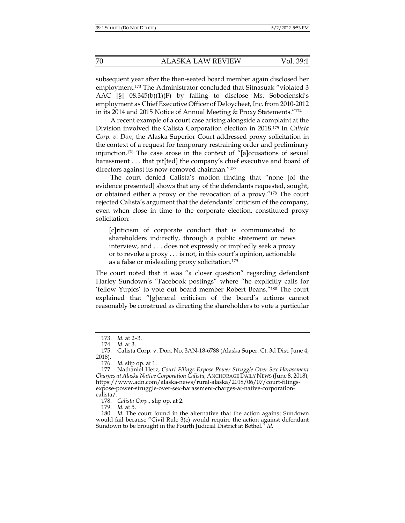subsequent year after the then-seated board member again disclosed her employment.173 The Administrator concluded that Sitnasuak "violated 3 AAC [§] 08.345(b)(1)(F) by failing to disclose Ms. Sobocienski's employment as Chief Executive Officer of Deloycheet, Inc. from 2010-2012 in its 2014 and 2015 Notice of Annual Meeting & Proxy Statements."174

A recent example of a court case arising alongside a complaint at the Division involved the Calista Corporation election in 2018.175 In *Calista Corp. v. Don*, the Alaska Superior Court addressed proxy solicitation in the context of a request for temporary restraining order and preliminary injunction.176 The case arose in the context of "[a]ccusations of sexual harassment . . . that pit[ted] the company's chief executive and board of directors against its now-removed chairman."177

The court denied Calista's motion finding that "none [of the evidence presented] shows that any of the defendants requested, sought, or obtained either a proxy or the revocation of a proxy."178 The court rejected Calista's argument that the defendants' criticism of the company, even when close in time to the corporate election, constituted proxy solicitation:

[c]riticism of corporate conduct that is communicated to shareholders indirectly, through a public statement or news interview, and . . . does not expressly or impliedly seek a proxy or to revoke a proxy . . . is not, in this court's opinion, actionable as a false or misleading proxy solicitation.179

The court noted that it was "a closer question" regarding defendant Harley Sundown's "Facebook postings" where "he explicitly calls for 'fellow Yupics' to vote out board member Robert Beans."180 The court explained that "[g]eneral criticism of the board's actions cannot reasonably be construed as directing the shareholders to vote a particular

178. *Calista Corp.*, slip op. at 2.

179. *Id.* at 5.

 <sup>173.</sup> *Id.* at 2–3.

 <sup>174.</sup> *Id.* at 3.

 <sup>175.</sup> Calista Corp. v. Don, No. 3AN-18-6788 (Alaska Super. Ct. 3d Dist. June 4, 2018).

 <sup>176.</sup> *Id.* slip op. at 1.

 <sup>177.</sup> Nathaniel Herz, *Court Filings Expose Power Struggle Over Sex Harassment Charges at Alaska Native Corporation Calista*, ANCHORAGE DAILY NEWS (June 8, 2018), https://www.adn.com/alaska-news/rural-alaska/2018/06/07/court-filingsexpose-power-struggle-over-sex-harassment-charges-at-native-corporationcalista/.

 <sup>180.</sup> *Id.* The court found in the alternative that the action against Sundown would fail because "Civil Rule 3(c) would require the action against defendant Sundown to be brought in the Fourth Judicial District at Bethel." *Id.*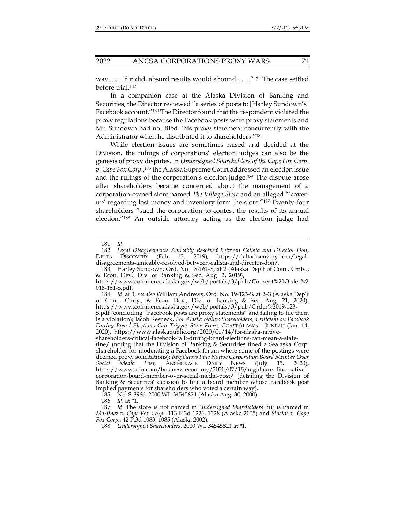way. . . . If it did, absurd results would abound . . . . "<sup>181</sup> The case settled before trial.182

In a companion case at the Alaska Division of Banking and Securities, the Director reviewed "a series of posts to [Harley Sundown's] Facebook account."183 The Director found that the respondent violated the proxy regulations because the Facebook posts were proxy statements and Mr. Sundown had not filed "his proxy statement concurrently with the Administrator when he distributed it to shareholders."184

While election issues are sometimes raised and decided at the Division, the rulings of corporations' election judges can also be the genesis of proxy disputes. In *Undersigned Shareholders of the Cape Fox Corp. v. Cape Fox Corp.*, 185 the Alaska Supreme Court addressed an election issue and the rulings of the corporation's election judge.186 The dispute arose after shareholders became concerned about the management of a corporation-owned store named *The Village Store* and an alleged "'coverup' regarding lost money and inventory form the store."187 Twenty-four shareholders "sued the corporation to contest the results of its annual election."188 An outside attorney acting as the election judge had

 183. Harley Sundown, Ord. No. 18-161-S, at 2 (Alaska Dep't of Com., Cmty., & Econ. Dev., Div. of Banking & Sec. Aug. 2, 2019),

186. *Id.* at \*1.

 <sup>181.</sup> *Id.*

<sup>182</sup>*. Legal Disagreements Amicably Resolved Between Calista and Director Don*, DELTA DISCOVERY (Feb. 13, 2019), https://deltadiscovery.com/legaldisagreements-amicably-resolved-between-calista-and-director-don/.

https://www.commerce.alaska.gov/web/portals/3/pub/Consent%20Order%2 018-161-S.pdf.

 <sup>184.</sup> *Id.* at 3; *see also* William Andrews, Ord. No. 19-123-S, at 2–3 (Alaska Dep't of Com., Cmty., & Econ. Dev., Div. of Banking & Sec. Aug. 21, 2020), https://www.commerce.alaska.gov/web/portals/3/pub/Order%2019-123-

S.pdf (concluding "Facebook posts are proxy statements" and failing to file them is a violation); Jacob Resneck, *For Alaska Native Shareholders, Criticism on Facebook During Board Elections Can Trigger State Fines*, COASTALASKA – JUNEAU (Jan. 14, 2020), https://www.alaskapublic.org/2020/01/14/for-alaska-native-

shareholders-critical-facebook-talk-during-board-elections-can-mean-a-state-

fine/ (noting that the Division of Banking & Securities fined a Sealaska Corp. shareholder for moderating a Facebook forum where some of the postings were deemed proxy solicitations); *Regulators Fine Native Corporation Board Member Over Social Media Post,* ANCHORAGE DAILY NEWS (July 15, 2020), https://www.adn.com/business-economy/2020/07/15/regulators-fine-nativecorporation-board-member-over-social-media-post/ (detailing the Division of Banking & Securities' decision to fine a board member whose Facebook post implied payments for shareholders who voted a certain way).

 <sup>185.</sup> No. S-8966, 2000 WL 34545821 (Alaska Aug. 30, 2000).

 <sup>187.</sup> *Id.* The store is not named in *Undersigned Shareholders* but is named in *Martinez v. Cape Fox Corp.*, 113 P.3d 1226, 1228 (Alaska 2005) and *Shields v. Cape Fox Corp.*, 42 P.3d 1083, 1085 (Alaska 2002).

 <sup>188.</sup> *Undersigned Shareholders*, 2000 WL 34545821 at \*1.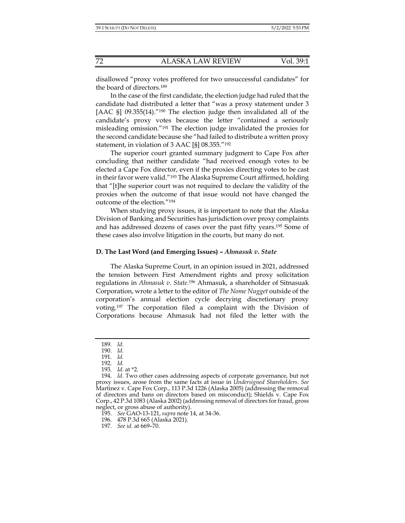disallowed "proxy votes proffered for two unsuccessful candidates" for the board of directors.189

In the case of the first candidate, the election judge had ruled that the candidate had distributed a letter that "was a proxy statement under 3 [AAC §] 09.355(14)."<sup>190</sup> The election judge then invalidated all of the candidate's proxy votes because the letter "contained a seriously misleading omission."191 The election judge invalidated the proxies for the second candidate because she "had failed to distribute a written proxy statement, in violation of 3 AAC [§] 08.355."192

The superior court granted summary judgment to Cape Fox after concluding that neither candidate "had received enough votes to be elected a Cape Fox director, even if the proxies directing votes to be cast in their favor were valid."193 The Alaska Supreme Court affirmed, holding that "[t]he superior court was not required to declare the validity of the proxies when the outcome of that issue would not have changed the outcome of the election."194

When studying proxy issues, it is important to note that the Alaska Division of Banking and Securities has jurisdiction over proxy complaints and has addressed dozens of cases over the past fifty years.195 Some of these cases also involve litigation in the courts, but many do not.

#### **D. The Last Word (and Emerging Issues) –** *Ahmasuk v. State*

The Alaska Supreme Court, in an opinion issued in 2021, addressed the tension between First Amendment rights and proxy solicitation regulations in *Ahmasuk v. State*. 196 Ahmasuk, a shareholder of Sitnasuak Corporation, wrote a letter to the editor of *The Nome Nugget* outside of the corporation's annual election cycle decrying discretionary proxy voting.197 The corporation filed a complaint with the Division of Corporations because Ahmasuk had not filed the letter with the

 <sup>189.</sup> *Id.*

 <sup>190.</sup> *Id.*

 <sup>191.</sup> *Id.*

 <sup>192.</sup> *Id.* 

 <sup>193.</sup> *Id.* at \*2.

 <sup>194.</sup> *Id.* Two other cases addressing aspects of corporate governance, but not proxy issues, arose from the same facts at issue in *Undersigned Shareholders*. *See*  Martinez v. Cape Fox Corp., 113 P.3d 1226 (Alaska 2005) (addressing the removal of directors and bans on directors based on misconduct); Shields v. Cape Fox Corp., 42 P.3d 1083 (Alaska 2002) (addressing removal of directors for fraud, gross neglect, or gross abuse of authority).

 <sup>195.</sup> *See* GAO-13-121, *supra* note 14, at 34-36.

 <sup>196. 478</sup> P.3d 665 (Alaska 2021).

 <sup>197.</sup> *See id.* at 669–70.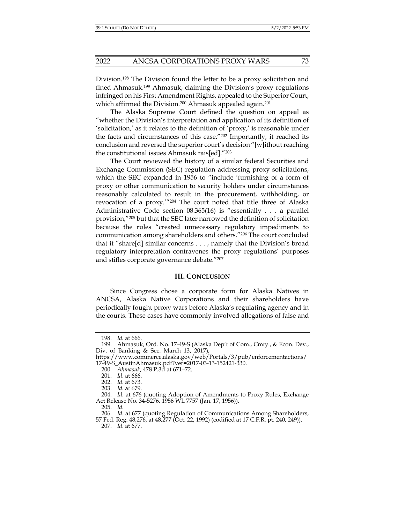Division.198 The Division found the letter to be a proxy solicitation and fined Ahmasuk.199 Ahmasuk, claiming the Division's proxy regulations infringed on his First Amendment Rights, appealed to the Superior Court, which affirmed the Division.<sup>200</sup> Ahmasuk appealed again.<sup>201</sup>

The Alaska Supreme Court defined the question on appeal as "whether the Division's interpretation and application of its definition of 'solicitation,' as it relates to the definition of 'proxy,' is reasonable under the facts and circumstances of this case."202 Importantly, it reached its conclusion and reversed the superior court's decision "[w]ithout reaching the constitutional issues Ahmasuk rais[ed]."203

The Court reviewed the history of a similar federal Securities and Exchange Commission (SEC) regulation addressing proxy solicitations, which the SEC expanded in 1956 to "include 'furnishing of a form of proxy or other communication to security holders under circumstances reasonably calculated to result in the procurement, withholding, or revocation of a proxy.'"204 The court noted that title three of Alaska Administrative Code section 08.365(16) is "essentially . . . a parallel provision,"205 but that the SEC later narrowed the definition of solicitation because the rules "created unnecessary regulatory impediments to communication among shareholders and others."206 The court concluded that it "share[d] similar concerns . . . , namely that the Division's broad regulatory interpretation contravenes the proxy regulations' purposes and stifles corporate governance debate."207

#### **III. CONCLUSION**

Since Congress chose a corporate form for Alaska Natives in ANCSA, Alaska Native Corporations and their shareholders have periodically fought proxy wars before Alaska's regulating agency and in the courts. These cases have commonly involved allegations of false and

 <sup>198.</sup> *Id.* at 666.

 <sup>199.</sup> Ahmasuk, Ord. No. 17-49-S (Alaska Dep't of Com., Cmty., & Econ. Dev., Div. of Banking & Sec. March 13, 2017),

https://www.commerce.alaska.gov/web/Portals/3/pub/enforcementactions/ 17-49-S\_AustinAhmasuk.pdf?ver=2017-03-13-152421-330.

 <sup>200.</sup> *Ahmasuk*, 478 P.3d at 671–72.

 <sup>201.</sup> *Id.* at 666.

 <sup>202.</sup> *Id.* at 673.

 <sup>203.</sup> *Id.* at 679.

 <sup>204.</sup> *Id.* at 676 (quoting Adoption of Amendments to Proxy Rules, Exchange Act Release No. 34-5276, 1956 WL 7757 (Jan. 17, 1956)).

 <sup>205.</sup> *Id.*

 <sup>206.</sup> *Id.* at 677 (quoting Regulation of Communications Among Shareholders, 57 Fed. Reg. 48,276, at 48,277 (Oct. 22, 1992) (codified at 17 C.F.R. pt. 240, 249)).

 <sup>207.</sup> *Id.* at 677.